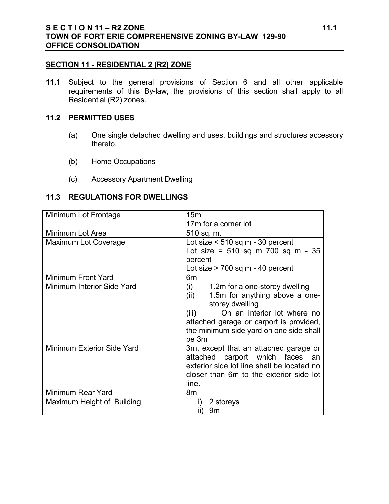#### **SECTION 11 - RESIDENTIAL 2 (R2) ZONE**

**11.1** Subject to the general provisions of Section 6 and all other applicable requirements of this By-law, the provisions of this section shall apply to all Residential (R2) zones.

#### **11.2 PERMITTED USES**

- (a) One single detached dwelling and uses, buildings and structures accessory thereto.
- (b) Home Occupations
- (c) Accessory Apartment Dwelling

# **11.3 REGULATIONS FOR DWELLINGS**

| Minimum Lot Frontage       | 15 <sub>m</sub>                                                                                                                                                                                                                  |  |  |
|----------------------------|----------------------------------------------------------------------------------------------------------------------------------------------------------------------------------------------------------------------------------|--|--|
|                            | 17m for a corner lot                                                                                                                                                                                                             |  |  |
| Minimum Lot Area           | 510 sq. m.                                                                                                                                                                                                                       |  |  |
| Maximum Lot Coverage       | Lot size $<$ 510 sq m - 30 percent                                                                                                                                                                                               |  |  |
|                            | Lot size = $510$ sq m $700$ sq m $-35$                                                                                                                                                                                           |  |  |
|                            | percent                                                                                                                                                                                                                          |  |  |
|                            | Lot size $> 700$ sq m $- 40$ percent                                                                                                                                                                                             |  |  |
| Minimum Front Yard         | 6m                                                                                                                                                                                                                               |  |  |
| Minimum Interior Side Yard | (i)<br>1.2m for a one-storey dwelling<br>1.5m for anything above a one-<br>(ii)<br>storey dwelling<br>On an interior lot where no<br>(iii)<br>attached garage or carport is provided,<br>the minimum side yard on one side shall |  |  |
|                            | be 3m                                                                                                                                                                                                                            |  |  |
| Minimum Exterior Side Yard | 3m, except that an attached garage or<br>attached carport which faces an<br>exterior side lot line shall be located no<br>closer than 6m to the exterior side lot<br>line.                                                       |  |  |
| Minimum Rear Yard          | 8m                                                                                                                                                                                                                               |  |  |
| Maximum Height of Building | 2 storeys<br>$\mathbf{I}$<br>9m<br>$\parallel$                                                                                                                                                                                   |  |  |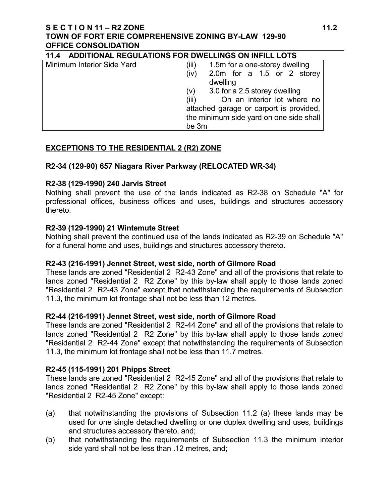# **S E C T I O N 11 – R2 ZONE 11.2 TOWN OF FORT ERIE COMPREHENSIVE ZONING BY-LAW 129-90 OFFICE CONSOLIDATION**

| ADDITIONAL REGULATIONS FOR DWELLINGS ON INFILL LOTS<br>11.4 |                                         |  |  |  |  |
|-------------------------------------------------------------|-----------------------------------------|--|--|--|--|
| Minimum Interior Side Yard                                  | 1.5m for a one-storey dwelling<br>(iii) |  |  |  |  |
|                                                             | (iv)<br>2.0m for a 1.5 or 2 storey      |  |  |  |  |
|                                                             | dwelling                                |  |  |  |  |
|                                                             | 3.0 for a 2.5 storey dwelling<br>(v)    |  |  |  |  |
|                                                             | On an interior lot where no<br>(iii)    |  |  |  |  |
|                                                             | attached garage or carport is provided, |  |  |  |  |
|                                                             | the minimum side yard on one side shall |  |  |  |  |
|                                                             | be 3m                                   |  |  |  |  |

# **EXCEPTIONS TO THE RESIDENTIAL 2 (R2) ZONE**

# **R2-34 (129-90) 657 Niagara River Parkway (RELOCATED WR-34)**

# **R2-38 (129-1990) 240 Jarvis Street**

Nothing shall prevent the use of the lands indicated as R2-38 on Schedule "A" for professional offices, business offices and uses, buildings and structures accessory thereto.

# **R2-39 (129-1990) 21 Wintemute Street**

Nothing shall prevent the continued use of the lands indicated as R2-39 on Schedule "A" for a funeral home and uses, buildings and structures accessory thereto.

# **R2-43 (216-1991) Jennet Street, west side, north of Gilmore Road**

These lands are zoned "Residential 2 R2-43 Zone" and all of the provisions that relate to lands zoned "Residential 2 R2 Zone" by this by-law shall apply to those lands zoned "Residential 2 R2-43 Zone" except that notwithstanding the requirements of Subsection 11.3, the minimum lot frontage shall not be less than 12 metres.

# **R2-44 (216-1991) Jennet Street, west side, north of Gilmore Road**

These lands are zoned "Residential 2 R2-44 Zone" and all of the provisions that relate to lands zoned "Residential 2 R2 Zone" by this by-law shall apply to those lands zoned "Residential 2 R2-44 Zone" except that notwithstanding the requirements of Subsection 11.3, the minimum lot frontage shall not be less than 11.7 metres.

# **R2-45 (115-1991) 201 Phipps Street**

These lands are zoned "Residential 2 R2-45 Zone" and all of the provisions that relate to lands zoned "Residential 2 R2 Zone" by this by-law shall apply to those lands zoned "Residential 2 R2-45 Zone" except:

- (a) that notwithstanding the provisions of Subsection 11.2 (a) these lands may be used for one single detached dwelling or one duplex dwelling and uses, buildings and structures accessory thereto, and;
- (b) that notwithstanding the requirements of Subsection 11.3 the minimum interior side yard shall not be less than .12 metres, and;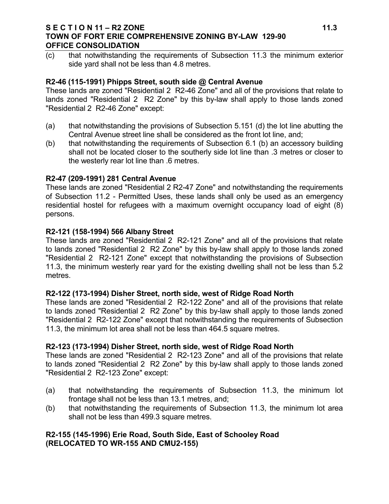### **S E C T I O N 11 – R2 ZONE 11.3 TOWN OF FORT ERIE COMPREHENSIVE ZONING BY-LAW 129-90 OFFICE CONSOLIDATION**

(c) that notwithstanding the requirements of Subsection 11.3 the minimum exterior side yard shall not be less than 4.8 metres.

### **R2-46 (115-1991) Phipps Street, south side @ Central Avenue**

These lands are zoned "Residential 2 R2-46 Zone" and all of the provisions that relate to lands zoned "Residential 2 R2 Zone" by this by-law shall apply to those lands zoned "Residential 2 R2-46 Zone" except:

- (a) that notwithstanding the provisions of Subsection 5.151 (d) the lot line abutting the Central Avenue street line shall be considered as the front lot line, and;
- (b) that notwithstanding the requirements of Subsection 6.1 (b) an accessory building shall not be located closer to the southerly side lot line than .3 metres or closer to the westerly rear lot line than .6 metres.

### **R2-47 (209-1991) 281 Central Avenue**

These lands are zoned "Residential 2 R2-47 Zone" and notwithstanding the requirements of Subsection 11.2 - Permitted Uses, these lands shall only be used as an emergency residential hostel for refugees with a maximum overnight occupancy load of eight (8) persons.

#### **R2-121 (158-1994) 566 Albany Street**

These lands are zoned "Residential 2 R2-121 Zone" and all of the provisions that relate to lands zoned "Residential 2 R2 Zone" by this by-law shall apply to those lands zoned "Residential 2 R2-121 Zone" except that notwithstanding the provisions of Subsection 11.3, the minimum westerly rear yard for the existing dwelling shall not be less than 5.2 metres.

#### **R2-122 (173-1994) Disher Street, north side, west of Ridge Road North**

These lands are zoned "Residential 2 R2-122 Zone" and all of the provisions that relate to lands zoned "Residential 2 R2 Zone" by this by-law shall apply to those lands zoned "Residential 2 R2-122 Zone" except that notwithstanding the requirements of Subsection 11.3, the minimum lot area shall not be less than 464.5 square metres.

# **R2-123 (173-1994) Disher Street, north side, west of Ridge Road North**

These lands are zoned "Residential 2 R2-123 Zone" and all of the provisions that relate to lands zoned "Residential 2 R2 Zone" by this by-law shall apply to those lands zoned "Residential 2 R2-123 Zone" except:

- (a) that notwithstanding the requirements of Subsection 11.3, the minimum lot frontage shall not be less than 13.1 metres, and;
- (b) that notwithstanding the requirements of Subsection 11.3, the minimum lot area shall not be less than 499.3 square metres.

# **R2-155 (145-1996) Erie Road, South Side, East of Schooley Road (RELOCATED TO WR-155 AND CMU2-155)**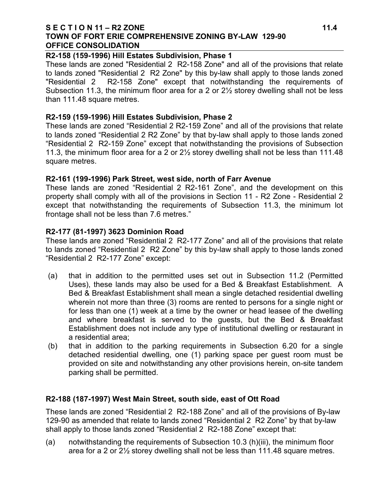### **S E C T I O N 11 – R2 ZONE 11.4 TOWN OF FORT ERIE COMPREHENSIVE ZONING BY-LAW 129-90 OFFICE CONSOLIDATION**

# **R2-158 (159-1996) Hill Estates Subdivision, Phase 1**

These lands are zoned "Residential 2 R2-158 Zone" and all of the provisions that relate to lands zoned "Residential 2 R2 Zone" by this by-law shall apply to those lands zoned "Residential 2 R2-158 Zone" except that notwithstanding the requirements of Subsection 11.3, the minimum floor area for a 2 or 2½ storey dwelling shall not be less than 111.48 square metres.

# **R2-159 (159-1996) Hill Estates Subdivision, Phase 2**

These lands are zoned "Residential 2 R2-159 Zone" and all of the provisions that relate to lands zoned "Residential 2 R2 Zone" by that by-law shall apply to those lands zoned "Residential 2 R2-159 Zone" except that notwithstanding the provisions of Subsection 11.3, the minimum floor area for a 2 or 2½ storey dwelling shall not be less than 111.48 square metres.

# **R2-161 (199-1996) Park Street, west side, north of Farr Avenue**

These lands are zoned "Residential 2 R2-161 Zone", and the development on this property shall comply with all of the provisions in Section 11 - R2 Zone - Residential 2 except that notwithstanding the requirements of Subsection 11.3, the minimum lot frontage shall not be less than 7.6 metres."

# **R2-177 (81-1997) 3623 Dominion Road**

These lands are zoned "Residential 2 R2-177 Zone" and all of the provisions that relate to lands zoned "Residential 2 R2 Zone" by this by-law shall apply to those lands zoned "Residential 2 R2-177 Zone" except:

- (a) that in addition to the permitted uses set out in Subsection 11.2 (Permitted Uses), these lands may also be used for a Bed & Breakfast Establishment. A Bed & Breakfast Establishment shall mean a single detached residential dwelling wherein not more than three (3) rooms are rented to persons for a single night or for less than one (1) week at a time by the owner or head leasee of the dwelling and where breakfast is served to the guests, but the Bed & Breakfast Establishment does not include any type of institutional dwelling or restaurant in a residential area;
- (b) that in addition to the parking requirements in Subsection 6.20 for a single detached residential dwelling, one (1) parking space per guest room must be provided on site and notwithstanding any other provisions herein, on-site tandem parking shall be permitted.

# **R2-188 (187-1997) West Main Street, south side, east of Ott Road**

These lands are zoned "Residential 2 R2-188 Zone" and all of the provisions of By-law 129-90 as amended that relate to lands zoned "Residential 2 R2 Zone" by that by-law shall apply to those lands zoned "Residential 2 R2-188 Zone" except that:

(a) notwithstanding the requirements of Subsection 10.3 (h)(iii), the minimum floor area for a 2 or 2½ storey dwelling shall not be less than 111.48 square metres.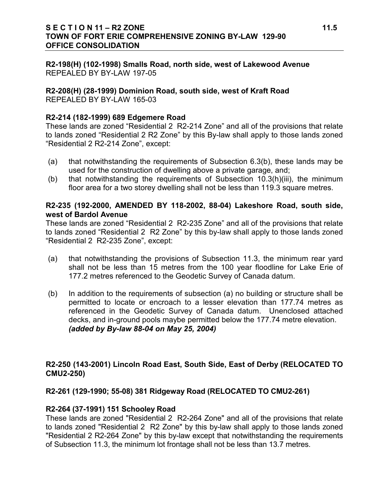# **S E C T I O N 11 – R2 ZONE 11.5 TOWN OF FORT ERIE COMPREHENSIVE ZONING BY-LAW 129-90 OFFICE CONSOLIDATION**

**R2-198(H) (102-1998) Smalls Road, north side, west of Lakewood Avenue**  REPEALED BY BY-LAW 197-05

**R2-208(H) (28-1999) Dominion Road, south side, west of Kraft Road** REPEALED BY BY-LAW 165-03

### **R2-214 (182-1999) 689 Edgemere Road**

These lands are zoned "Residential 2 R2-214 Zone" and all of the provisions that relate to lands zoned "Residential 2 R2 Zone" by this By-law shall apply to those lands zoned "Residential 2 R2-214 Zone", except:

- (a) that notwithstanding the requirements of Subsection 6.3(b), these lands may be used for the construction of dwelling above a private garage, and;
- (b) that notwithstanding the requirements of Subsection 10.3(h)(iii), the minimum floor area for a two storey dwelling shall not be less than 119.3 square metres.

### **R2-235 (192-2000, AMENDED BY 118-2002, 88-04) Lakeshore Road, south side, west of Bardol Avenue**

These lands are zoned "Residential 2 R2-235 Zone" and all of the provisions that relate to lands zoned "Residential 2 R2 Zone" by this by-law shall apply to those lands zoned "Residential 2 R2-235 Zone", except:

- (a) that notwithstanding the provisions of Subsection 11.3, the minimum rear yard shall not be less than 15 metres from the 100 year floodline for Lake Erie of 177.2 metres referenced to the Geodetic Survey of Canada datum.
- (b) In addition to the requirements of subsection (a) no building or structure shall be permitted to locate or encroach to a lesser elevation than 177.74 metres as referenced in the Geodetic Survey of Canada datum. Unenclosed attached decks, and in-ground pools maybe permitted below the 177.74 metre elevation. *(added by By-law 88-04 on May 25, 2004)*

# **R2-250 (143-2001) Lincoln Road East, South Side, East of Derby (RELOCATED TO CMU2-250)**

**R2-261 (129-1990; 55-08) 381 Ridgeway Road (RELOCATED TO CMU2-261)**

# **R2-264 (37-1991) 151 Schooley Road**

These lands are zoned "Residential 2 R2-264 Zone" and all of the provisions that relate to lands zoned "Residential 2 R2 Zone" by this by-law shall apply to those lands zoned "Residential 2 R2-264 Zone" by this by-law except that notwithstanding the requirements of Subsection 11.3, the minimum lot frontage shall not be less than 13.7 metres.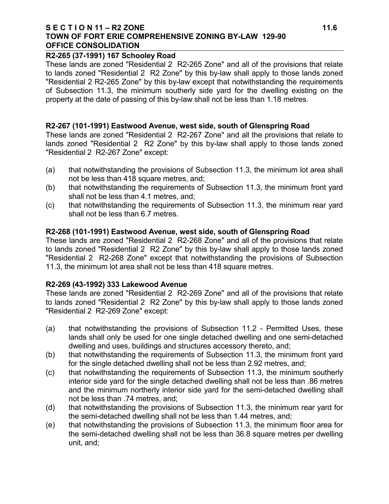#### **S E C T I O N 11 – R2 ZONE 11.6 TOWN OF FORT ERIE COMPREHENSIVE ZONING BY-LAW 129-90 OFFICE CONSOLIDATION**

### **R2-265 (37-1991) 167 Schooley Road**

These lands are zoned "Residential 2 R2-265 Zone" and all of the provisions that relate to lands zoned "Residential 2 R2 Zone" by this by-law shall apply to those lands zoned "Residential 2 R2-265 Zone" by this by-law except that notwithstanding the requirements of Subsection 11.3, the minimum southerly side yard for the dwelling existing on the property at the date of passing of this by-law shall not be less than 1.18 metres.

### **R2-267 (101-1991) Eastwood Avenue, west side, south of Glenspring Road**

These lands are zoned "Residential 2 R2-267 Zone" and all the provisions that relate to lands zoned "Residential 2 R2 Zone" by this by-law shall apply to those lands zoned "Residential 2 R2-267 Zone" except:

- (a) that notwithstanding the provisions of Subsection 11.3, the minimum lot area shall not be less than 418 square metres, and;
- (b) that notwithstanding the requirements of Subsection 11.3, the minimum front yard shall not be less than 4.1 metres, and;
- (c) that notwithstanding the requirements of Subsection 11.3, the minimum rear yard shall not be less than 6.7 metres.

### **R2-268 (101-1991) Eastwood Avenue, west side, south of Glenspring Road**

These lands are zoned "Residential 2 R2-268 Zone" and all of the provisions that relate to lands zoned "Residential 2 R2 Zone" by this by-law shall apply to those lands zoned "Residential 2 R2-268 Zone" except that notwithstanding the provisions of Subsection 11.3, the minimum lot area shall not be less than 418 square metres.

# **R2-269 (43-1992) 333 Lakewood Avenue**

These lands are zoned "Residential 2 R2-269 Zone" and all of the provisions that relate to lands zoned "Residential 2 R2 Zone" by this by-law shall apply to those lands zoned "Residential 2 R2-269 Zone" except:

- (a) that notwithstanding the provisions of Subsection 11.2 Permitted Uses, these lands shall only be used for one single detached dwelling and one semi-detached dwelling and uses, buildings and structures accessory thereto, and;
- (b) that notwithstanding the requirements of Subsection 11.3, the minimum front yard for the single detached dwelling shall not be less than 2.92 metres, and;
- (c) that notwithstanding the requirements of Subsection 11.3, the minimum southerly interior side yard for the single detached dwelling shall not be less than .86 metres and the minimum northerly interior side yard for the semi-detached dwelling shall not be less than .74 metres, and;
- (d) that notwithstanding the provisions of Subsection 11.3, the minimum rear yard for the semi-detached dwelling shall not be less than 1.44 metres, and;
- (e) that notwithstanding the provisions of Subsection 11.3, the minimum floor area for the semi-detached dwelling shall not be less than 36.8 square metres per dwelling unit, and;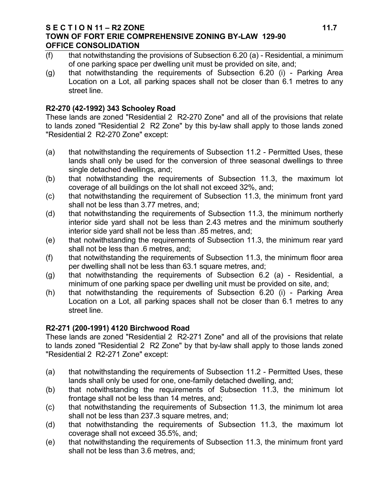### **S E C T I O N 11 – R2 ZONE 11.7 TOWN OF FORT ERIE COMPREHENSIVE ZONING BY-LAW 129-90 OFFICE CONSOLIDATION**

- (f) that notwithstanding the provisions of Subsection 6.20 (a) Residential, a minimum of one parking space per dwelling unit must be provided on site, and;
- (g) that notwithstanding the requirements of Subsection 6.20 (i) Parking Area Location on a Lot, all parking spaces shall not be closer than 6.1 metres to any street line.

# **R2-270 (42-1992) 343 Schooley Road**

These lands are zoned "Residential 2 R2-270 Zone" and all of the provisions that relate to lands zoned "Residential 2 R2 Zone" by this by-law shall apply to those lands zoned "Residential 2 R2-270 Zone" except:

- (a) that notwithstanding the requirements of Subsection 11.2 Permitted Uses, these lands shall only be used for the conversion of three seasonal dwellings to three single detached dwellings, and;
- (b) that notwithstanding the requirements of Subsection 11.3, the maximum lot coverage of all buildings on the lot shall not exceed 32%, and;
- (c) that notwithstanding the requirement of Subsection 11.3, the minimum front yard shall not be less than 3.77 metres, and;
- (d) that notwithstanding the requirements of Subsection 11.3, the minimum northerly interior side yard shall not be less than 2.43 metres and the minimum southerly interior side yard shall not be less than .85 metres, and;
- (e) that notwithstanding the requirements of Subsection 11.3, the minimum rear yard shall not be less than .6 metres, and;
- (f) that notwithstanding the requirements of Subsection 11.3, the minimum floor area per dwelling shall not be less than 63.1 square metres, and;
- (g) that notwithstanding the requirements of Subsection 6.2 (a) Residential, a minimum of one parking space per dwelling unit must be provided on site, and;
- (h) that notwithstanding the requirements of Subsection 6.20 (i) Parking Area Location on a Lot, all parking spaces shall not be closer than 6.1 metres to any street line.

# **R2-271 (200-1991) 4120 Birchwood Road**

These lands are zoned "Residential 2 R2-271 Zone" and all of the provisions that relate to lands zoned "Residential 2 R2 Zone" by that by-law shall apply to those lands zoned "Residential 2 R2-271 Zone" except:

- (a) that notwithstanding the requirements of Subsection 11.2 Permitted Uses, these lands shall only be used for one, one-family detached dwelling, and;
- (b) that notwithstanding the requirements of Subsection 11.3, the minimum lot frontage shall not be less than 14 metres, and;
- (c) that notwithstanding the requirements of Subsection 11.3, the minimum lot area shall not be less than 237.3 square metres, and;
- (d) that notwithstanding the requirements of Subsection 11.3, the maximum lot coverage shall not exceed 35.5%, and;
- (e) that notwithstanding the requirements of Subsection 11.3, the minimum front yard shall not be less than 3.6 metres, and;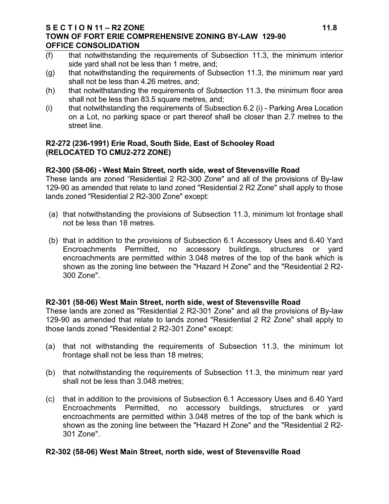### **S E C T I O N 11 – R2 ZONE 11.8 TOWN OF FORT ERIE COMPREHENSIVE ZONING BY-LAW 129-90 OFFICE CONSOLIDATION**

- (f) that notwithstanding the requirements of Subsection 11.3, the minimum interior side yard shall not be less than 1 metre, and;
- (g) that notwithstanding the requirements of Subsection 11.3, the minimum rear yard shall not be less than 4.26 metres, and;
- (h) that notwithstanding the requirements of Subsection 11.3, the minimum floor area shall not be less than 83.5 square metres, and;
- (i) that notwithstanding the requirements of Subsection 6.2 (i) Parking Area Location on a Lot, no parking space or part thereof shall be closer than 2.7 metres to the street line.

# **R2-272 (236-1991) Erie Road, South Side, East of Schooley Road (RELOCATED TO CMU2-272 ZONE)**

# **R2-300 (58-06) - West Main Street, north side, west of Stevensville Road**

These lands are zoned "Residential 2 R2-300 Zone" and all of the provisions of By-law 129-90 as amended that relate to land zoned "Residential 2 R2 Zone" shall apply to those lands zoned "Residential 2 R2-300 Zone" except:

- (a) that notwithstanding the provisions of Subsection 11.3, minimum lot frontage shall not be less than 18 metres.
- (b) that in addition to the provisions of Subsection 6.1 Accessory Uses and 6.40 Yard Encroachments Permitted, no accessory buildings, structures or yard encroachments are permitted within 3.048 metres of the top of the bank which is shown as the zoning line between the "Hazard H Zone" and the "Residential 2 R2- 300 Zone".

# **R2-301 (58-06) West Main Street, north side, west of Stevensville Road**

These lands are zoned as "Residential 2 R2-301 Zone" and all the provisions of By-law 129-90 as amended that relate to lands zoned "Residential 2 R2 Zone" shall apply to those lands zoned "Residential 2 R2-301 Zone" except:

- (a) that not withstanding the requirements of Subsection 11.3, the minimum lot frontage shall not be less than 18 metres;
- (b) that notwithstanding the requirements of Subsection 11.3, the minimum rear yard shall not be less than 3.048 metres;
- (c) that in addition to the provisions of Subsection 6.1 Accessory Uses and 6.40 Yard Encroachments Permitted, no accessory buildings, structures or yard encroachments are permitted within 3.048 metres of the top of the bank which is shown as the zoning line between the "Hazard H Zone" and the "Residential 2 R2- 301 Zone".

# **R2-302 (58-06) West Main Street, north side, west of Stevensville Road**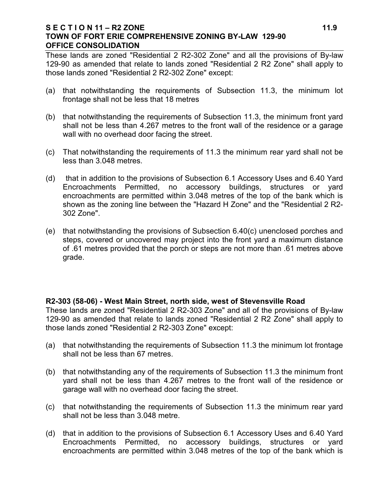### **S E C T I O N 11 – R2 ZONE 11.9 TOWN OF FORT ERIE COMPREHENSIVE ZONING BY-LAW 129-90 OFFICE CONSOLIDATION**

These lands are zoned "Residential 2 R2-302 Zone" and all the provisions of By-law 129-90 as amended that relate to lands zoned "Residential 2 R2 Zone" shall apply to those lands zoned "Residential 2 R2-302 Zone" except:

- (a) that notwithstanding the requirements of Subsection 11.3, the minimum lot frontage shall not be less that 18 metres
- (b) that notwithstanding the requirements of Subsection 11.3, the minimum front yard shall not be less than 4.267 metres to the front wall of the residence or a garage wall with no overhead door facing the street.
- (c) That notwithstanding the requirements of 11.3 the minimum rear yard shall not be less than 3.048 metres.
- (d) that in addition to the provisions of Subsection 6.1 Accessory Uses and 6.40 Yard Encroachments Permitted, no accessory buildings, structures or yard encroachments are permitted within 3.048 metres of the top of the bank which is shown as the zoning line between the "Hazard H Zone" and the "Residential 2 R2- 302 Zone".
- (e) that notwithstanding the provisions of Subsection 6.40(c) unenclosed porches and steps, covered or uncovered may project into the front yard a maximum distance of .61 metres provided that the porch or steps are not more than .61 metres above grade.

# **R2-303 (58-06) - West Main Street, north side, west of Stevensville Road**

These lands are zoned "Residential 2 R2-303 Zone" and all of the provisions of By-law 129-90 as amended that relate to lands zoned "Residential 2 R2 Zone" shall apply to those lands zoned "Residential 2 R2-303 Zone" except:

- (a) that notwithstanding the requirements of Subsection 11.3 the minimum lot frontage shall not be less than 67 metres.
- (b) that notwithstanding any of the requirements of Subsection 11.3 the minimum front yard shall not be less than 4.267 metres to the front wall of the residence or garage wall with no overhead door facing the street.
- (c) that notwithstanding the requirements of Subsection 11.3 the minimum rear yard shall not be less than 3.048 metre.
- (d) that in addition to the provisions of Subsection 6.1 Accessory Uses and 6.40 Yard Encroachments Permitted, no accessory buildings, structures or yard encroachments are permitted within 3.048 metres of the top of the bank which is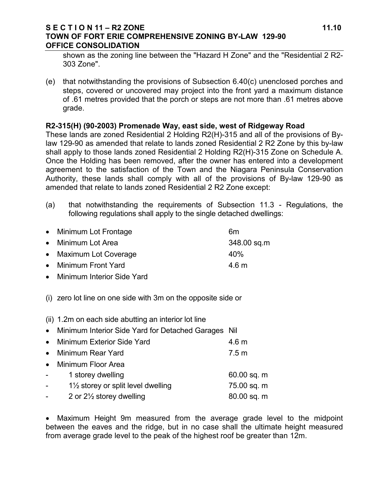### **S E C T I O N 11 – R2 ZONE 11.10 TOWN OF FORT ERIE COMPREHENSIVE ZONING BY-LAW 129-90 OFFICE CONSOLIDATION**

shown as the zoning line between the "Hazard H Zone" and the "Residential 2 R2- 303 Zone".

(e) that notwithstanding the provisions of Subsection 6.40(c) unenclosed porches and steps, covered or uncovered may project into the front yard a maximum distance of .61 metres provided that the porch or steps are not more than .61 metres above grade.

# **R2-315(H) (90-2003) Promenade Way, east side, west of Ridgeway Road**

These lands are zoned Residential 2 Holding R2(H)-315 and all of the provisions of Bylaw 129-90 as amended that relate to lands zoned Residential 2 R2 Zone by this by-law shall apply to those lands zoned Residential 2 Holding R2(H)-315 Zone on Schedule A. Once the Holding has been removed, after the owner has entered into a development agreement to the satisfaction of the Town and the Niagara Peninsula Conservation Authority, these lands shall comply with all of the provisions of By-law 129-90 as amended that relate to lands zoned Residential 2 R2 Zone except:

(a) that notwithstanding the requirements of Subsection 11.3 - Regulations, the following regulations shall apply to the single detached dwellings:

| • Minimum Lot Frontage | 6m          |  |
|------------------------|-------------|--|
| • Minimum Lot Area     | 348.00 sq.m |  |
| • Maximum Lot Coverage | 40%         |  |
| • Minimum Front Yard   | 4.6 m       |  |
|                        |             |  |

- Minimum Interior Side Yard
- (i) zero lot line on one side with 3m on the opposite side or

(ii) 1.2m on each side abutting an interior lot line

• Minimum Interior Side Yard for Detached Garages Nil

|                | • Minimum Exterior Side Yard                  | 4.6 <sub>m</sub> |
|----------------|-----------------------------------------------|------------------|
| $\bullet$      | Minimum Rear Yard                             | 7.5 m            |
| $\bullet$      | Minimum Floor Area                            |                  |
| $\sim 100$     | 1 storey dwelling                             | 60.00 sq. m      |
| $\blacksquare$ | $1\frac{1}{2}$ storey or split level dwelling | 75.00 sq. m      |
|                | 2 or $2\frac{1}{2}$ storey dwelling           | 80.00 sq. m      |
|                |                                               |                  |

• Maximum Height 9m measured from the average grade level to the midpoint between the eaves and the ridge, but in no case shall the ultimate height measured from average grade level to the peak of the highest roof be greater than 12m.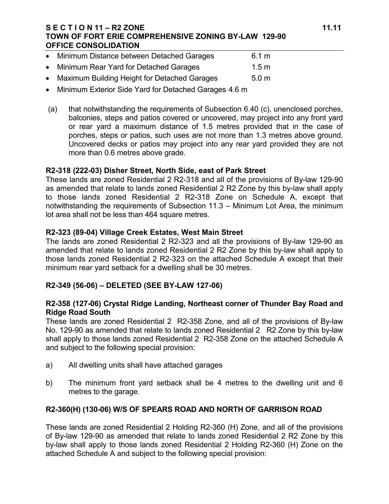# **S E C T I O N 11 – R2 ZONE 11.11 TOWN OF FORT ERIE COMPREHENSIVE ZONING BY-LAW 129-90 OFFICE CONSOLIDATION**

| • Minimum Distance between Detached Garages    | 6.1 m            |
|------------------------------------------------|------------------|
| • Minimum Rear Yard for Detached Garages       | 1.5 <sub>m</sub> |
| • Maximum Building Height for Detached Garages | 5.0 <sub>m</sub> |

- Minimum Exterior Side Yard for Detached Garages 4.6 m
- (a) that notwithstanding the requirements of Subsection 6.40 (c), unenclosed porches, balconies, steps and patios covered or uncovered, may project into any front yard or rear yard a maximum distance of 1.5 metres provided that in the case of porches, steps or patios, such uses are not more than 1.3 metres above ground. Uncovered decks or patios may project into any rear yard provided they are not more than 0.6 metres above grade.

# **R2-318 (222-03) Disher Street, North Side, east of Park Street**

These lands are zoned Residential 2 R2-318 and all of the provisions of By-law 129-90 as amended that relate to lands zoned Residential 2 R2 Zone by this by-law shall apply to those lands zoned Residential 2 R2-318 Zone on Schedule A, except that notwithstanding the requirements of Subsection 11.3 – Minimum Lot Area, the minimum lot area shall not be less than 464 square metres.

# **R2-323 (89-04) Village Creek Estates, West Main Street**

The lands are zoned Residential 2 R2-323 and all the provisions of By-law 129-90 as amended that relate to lands zoned Residential 2 R2 Zone by this by-law shall apply to those lands zoned Residential 2 R2-323 on the attached Schedule A except that their minimum rear yard setback for a dwelling shall be 30 metres.

# **R2-349 (56-06) – DELETED (SEE BY-LAW 127-06)**

# **R2-358 (127-06) Crystal Ridge Landing, Northeast corner of Thunder Bay Road and Ridge Road South**

These lands are zoned Residential 2 R2-358 Zone, and all of the provisions of By-law No. 129-90 as amended that relate to lands zoned Residential 2 R2 Zone by this by-law shall apply to those lands zoned Residential 2 R2-358 Zone on the attached Schedule A and subject to the following special provision:

- a) All dwelling units shall have attached garages
- b) The minimum front yard setback shall be 4 metres to the dwelling unit and 6 metres to the garage.

# **R2-360(H) (130-06) W/S OF SPEARS ROAD AND NORTH OF GARRISON ROAD**

These lands are zoned Residential 2 Holding R2-360 (H) Zone, and all of the provisions of By-law 129-90 as amended that relate to lands zoned Residential 2 R2 Zone by this by-law shall apply to those lands zoned Residential 2 Holding R2-360 (H) Zone on the attached Schedule A and subject to the following special provision: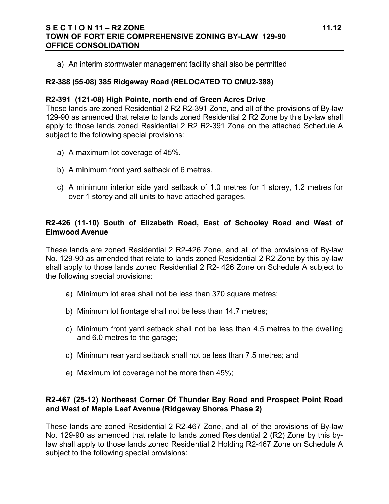# **S E C T I O N 11 – R2 ZONE 11.12 TOWN OF FORT ERIE COMPREHENSIVE ZONING BY-LAW 129-90 OFFICE CONSOLIDATION**

a) An interim stormwater management facility shall also be permitted

# **R2-388 (55-08) 385 Ridgeway Road (RELOCATED TO CMU2-388)**

### **R2-391 (121-08) High Pointe, north end of Green Acres Drive**

These lands are zoned Residential 2 R2 R2-391 Zone, and all of the provisions of By-law 129-90 as amended that relate to lands zoned Residential 2 R2 Zone by this by-law shall apply to those lands zoned Residential 2 R2 R2-391 Zone on the attached Schedule A subject to the following special provisions:

- a) A maximum lot coverage of 45%.
- b) A minimum front yard setback of 6 metres.
- c) A minimum interior side yard setback of 1.0 metres for 1 storey, 1.2 metres for over 1 storey and all units to have attached garages.

# **R2-426 (11-10) South of Elizabeth Road, East of Schooley Road and West of Elmwood Avenue**

These lands are zoned Residential 2 R2-426 Zone, and all of the provisions of By-law No. 129-90 as amended that relate to lands zoned Residential 2 R2 Zone by this by-law shall apply to those lands zoned Residential 2 R2- 426 Zone on Schedule A subject to the following special provisions:

- a) Minimum lot area shall not be less than 370 square metres;
- b) Minimum lot frontage shall not be less than 14.7 metres;
- c) Minimum front yard setback shall not be less than 4.5 metres to the dwelling and 6.0 metres to the garage;
- d) Minimum rear yard setback shall not be less than 7.5 metres; and
- e) Maximum lot coverage not be more than 45%;

# **R2-467 (25-12) Northeast Corner Of Thunder Bay Road and Prospect Point Road and West of Maple Leaf Avenue (Ridgeway Shores Phase 2)**

These lands are zoned Residential 2 R2-467 Zone, and all of the provisions of By-law No. 129-90 as amended that relate to lands zoned Residential 2 (R2) Zone by this bylaw shall apply to those lands zoned Residential 2 Holding R2-467 Zone on Schedule A subject to the following special provisions: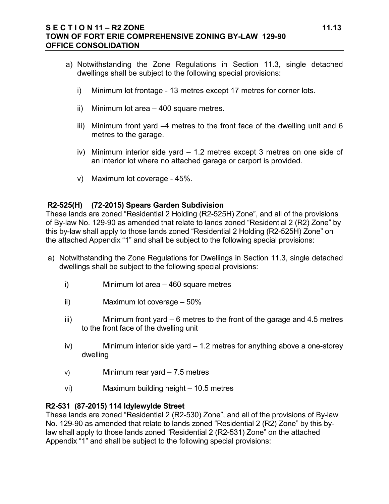# **S E C T I O N 11 – R2 ZONE 11.13 TOWN OF FORT ERIE COMPREHENSIVE ZONING BY-LAW 129-90 OFFICE CONSOLIDATION**

- a) Notwithstanding the Zone Regulations in Section 11.3, single detached dwellings shall be subject to the following special provisions:
	- i) Minimum lot frontage 13 metres except 17 metres for corner lots.
	- ii) Minimum lot area 400 square metres.
	- iii) Minimum front yard –4 metres to the front face of the dwelling unit and 6 metres to the garage.
	- iv) Minimum interior side yard 1.2 metres except 3 metres on one side of an interior lot where no attached garage or carport is provided.
	- v) Maximum lot coverage 45%.

# **R2-525(H) (72-2015) Spears Garden Subdivision**

These lands are zoned "Residential 2 Holding (R2-525H) Zone", and all of the provisions of By-law No. 129-90 as amended that relate to lands zoned "Residential 2 (R2) Zone" by this by-law shall apply to those lands zoned "Residential 2 Holding (R2-525H) Zone" on the attached Appendix "1" and shall be subject to the following special provisions:

- a) Notwithstanding the Zone Regulations for Dwellings in Section 11.3, single detached dwellings shall be subject to the following special provisions:
	- i) Minimum lot area 460 square metres
	- ii) Maximum lot coverage 50%
	- $iii)$  Minimum front yard  $-6$  metres to the front of the garage and 4.5 metres to the front face of the dwelling unit
	- iv) Minimum interior side yard 1.2 metres for anything above a one-storey dwelling
	- v) Minimum rear yard 7.5 metres
	- vi) Maximum building height 10.5 metres

# **R2-531 (87-2015) 114 Idylewylde Street**

These lands are zoned "Residential 2 (R2-530) Zone", and all of the provisions of By-law No. 129-90 as amended that relate to lands zoned "Residential 2 (R2) Zone" by this bylaw shall apply to those lands zoned "Residential 2 (R2-531) Zone" on the attached Appendix "1" and shall be subject to the following special provisions: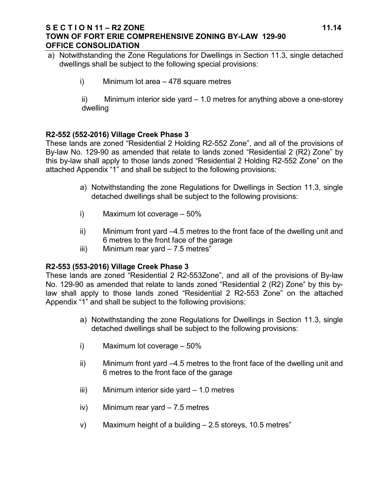### **S E C T I O N 11 – R2 ZONE 11.14 TOWN OF FORT ERIE COMPREHENSIVE ZONING BY-LAW 129-90 OFFICE CONSOLIDATION**

- a) Notwithstanding the Zone Regulations for Dwellings in Section 11.3, single detached dwellings shall be subject to the following special provisions:
	- i) Minimum lot area 478 square metres

ii) Minimum interior side yard – 1.0 metres for anything above a one-storey dwelling

# **R2-552 (552-2016) Village Creek Phase 3**

These lands are zoned "Residential 2 Holding R2-552 Zone", and all of the provisions of By-law No. 129-90 as amended that relate to lands zoned "Residential 2 (R2) Zone" by this by-law shall apply to those lands zoned "Residential 2 Holding R2-552 Zone" on the attached Appendix "1" and shall be subject to the following provisions:

- a) Notwithstanding the zone Regulations for Dwellings in Section 11.3, single detached dwellings shall be subject to the following provisions:
- i) Maximum lot coverage 50%
- ii) Minimum front yard –4.5 metres to the front face of the dwelling unit and 6 metres to the front face of the garage
- iii) Minimum rear yard  $-7.5$  metres"

# **R2-553 (553-2016) Village Creek Phase 3**

These lands are zoned "Residential 2 R2-553Zone", and all of the provisions of By-law No. 129-90 as amended that relate to lands zoned "Residential 2 (R2) Zone" by this bylaw shall apply to those lands zoned "Residential 2 R2-553 Zone" on the attached Appendix "1" and shall be subject to the following provisions:

- a) Notwithstanding the zone Regulations for Dwellings in Section 11.3, single detached dwellings shall be subject to the following provisions:
- i) Maximum lot coverage 50%
- ii) Minimum front yard –4.5 metres to the front face of the dwelling unit and 6 metres to the front face of the garage
- iii) Minimum interior side yard 1.0 metres
- iv) Minimum rear yard 7.5 metres
- v) Maximum height of a building 2.5 storeys, 10.5 metres"